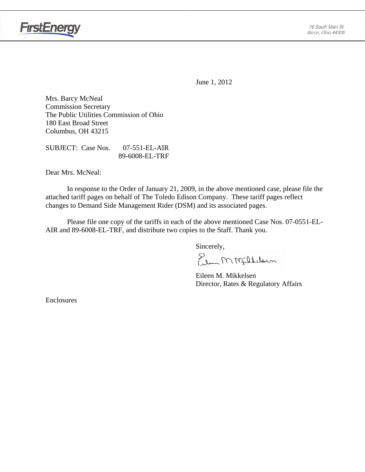

June 1, 2012

Mrs. Barcy McNeal Commission Secretary The Public Utilities Commission of Ohio 180 East Broad Street Columbus, OH 43215

SUBJECT: Case Nos. 07-551-EL-AIR 89-6008-EL-TRF

Dear Mrs. McNeal:

 In response to the Order of January 21, 2009, in the above mentioned case, please file the attached tariff pages on behalf of The Toledo Edison Company. These tariff pages reflect changes to Demand Side Management Rider (DSM) and its associated pages.

Please file one copy of the tariffs in each of the above mentioned Case Nos. 07-0551-EL-AIR and 89-6008-EL-TRF, and distribute two copies to the Staff. Thank you.

Sincerely,

Elem M Millelaun

 Eileen M. Mikkelsen Director, Rates & Regulatory Affairs

Enclosures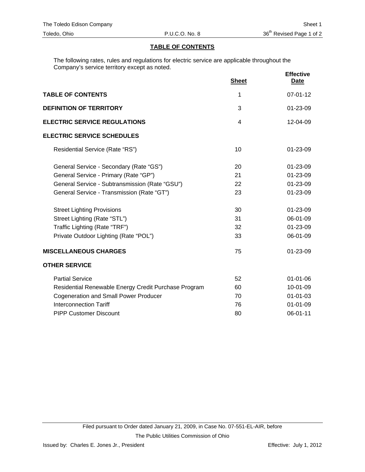### **TABLE OF CONTENTS**

The following rates, rules and regulations for electric service are applicable throughout the Company's service territory except as noted.

|                                                      | <b>Sheet</b> | <b>Effective</b><br><b>Date</b> |
|------------------------------------------------------|--------------|---------------------------------|
| <b>TABLE OF CONTENTS</b>                             | 1            | $07 - 01 - 12$                  |
| <b>DEFINITION OF TERRITORY</b>                       | 3            | 01-23-09                        |
| <b>ELECTRIC SERVICE REGULATIONS</b>                  | 4            | 12-04-09                        |
| <b>ELECTRIC SERVICE SCHEDULES</b>                    |              |                                 |
| Residential Service (Rate "RS")                      | 10           | $01 - 23 - 09$                  |
| General Service - Secondary (Rate "GS")              | 20           | $01 - 23 - 09$                  |
| General Service - Primary (Rate "GP")                | 21           | $01 - 23 - 09$                  |
| General Service - Subtransmission (Rate "GSU")       | 22           | 01-23-09                        |
| General Service - Transmission (Rate "GT")           | 23           | 01-23-09                        |
| <b>Street Lighting Provisions</b>                    | 30           | 01-23-09                        |
| Street Lighting (Rate "STL")                         | 31           | 06-01-09                        |
| Traffic Lighting (Rate "TRF")                        | 32           | 01-23-09                        |
| Private Outdoor Lighting (Rate "POL")                | 33           | 06-01-09                        |
| <b>MISCELLANEOUS CHARGES</b>                         | 75           | $01 - 23 - 09$                  |
| <b>OTHER SERVICE</b>                                 |              |                                 |
| <b>Partial Service</b>                               | 52           | $01 - 01 - 06$                  |
| Residential Renewable Energy Credit Purchase Program | 60           | 10-01-09                        |
| <b>Cogeneration and Small Power Producer</b>         | 70           | $01 - 01 - 03$                  |
| <b>Interconnection Tariff</b>                        | 76           | $01 - 01 - 09$                  |
| <b>PIPP Customer Discount</b>                        | 80           | 06-01-11                        |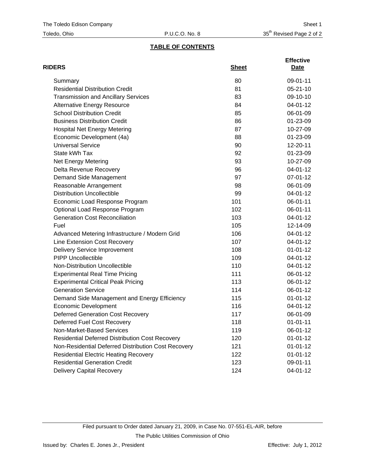# **TABLE OF CONTENTS**

| <b>RIDERS</b>                                          | <b>Sheet</b> | <b>Effective</b><br>Date |
|--------------------------------------------------------|--------------|--------------------------|
| Summary                                                | 80           | 09-01-11                 |
| <b>Residential Distribution Credit</b>                 | 81           | $05 - 21 - 10$           |
| <b>Transmission and Ancillary Services</b>             | 83           | 09-10-10                 |
| <b>Alternative Energy Resource</b>                     | 84           | 04-01-12                 |
| <b>School Distribution Credit</b>                      | 85           | 06-01-09                 |
| <b>Business Distribution Credit</b>                    | 86           | 01-23-09                 |
| <b>Hospital Net Energy Metering</b>                    | 87           | 10-27-09                 |
| Economic Development (4a)                              | 88           | 01-23-09                 |
| <b>Universal Service</b>                               | 90           | 12-20-11                 |
| State kWh Tax                                          | 92           | 01-23-09                 |
| <b>Net Energy Metering</b>                             | 93           | 10-27-09                 |
| Delta Revenue Recovery                                 | 96           | 04-01-12                 |
| Demand Side Management                                 | 97           | 07-01-12                 |
| Reasonable Arrangement                                 | 98           | 06-01-09                 |
| <b>Distribution Uncollectible</b>                      | 99           | 04-01-12                 |
| Economic Load Response Program                         | 101          | 06-01-11                 |
| Optional Load Response Program                         | 102          | 06-01-11                 |
| <b>Generation Cost Reconciliation</b>                  | 103          | 04-01-12                 |
| Fuel                                                   | 105          | 12-14-09                 |
| Advanced Metering Infrastructure / Modern Grid         | 106          | 04-01-12                 |
| Line Extension Cost Recovery                           | 107          | 04-01-12                 |
| <b>Delivery Service Improvement</b>                    | 108          | $01 - 01 - 12$           |
| <b>PIPP Uncollectible</b>                              | 109          | 04-01-12                 |
| Non-Distribution Uncollectible                         | 110          | 04-01-12                 |
| <b>Experimental Real Time Pricing</b>                  | 111          | 06-01-12                 |
| <b>Experimental Critical Peak Pricing</b>              | 113          | 06-01-12                 |
| <b>Generation Service</b>                              | 114          | 06-01-12                 |
| Demand Side Management and Energy Efficiency           | 115          | $01 - 01 - 12$           |
| <b>Economic Development</b>                            | 116          | 04-01-12                 |
| <b>Deferred Generation Cost Recovery</b>               | 117          | 06-01-09                 |
| Deferred Fuel Cost Recovery                            | 118          | $01 - 01 - 11$           |
| Non-Market-Based Services                              | 119          | 06-01-12                 |
| <b>Residential Deferred Distribution Cost Recovery</b> | 120          | $01 - 01 - 12$           |
| Non-Residential Deferred Distribution Cost Recovery    | 121          | $01 - 01 - 12$           |
| <b>Residential Electric Heating Recovery</b>           | 122          | $01 - 01 - 12$           |
| <b>Residential Generation Credit</b>                   | 123          | 09-01-11                 |
| <b>Delivery Capital Recovery</b>                       | 124          | 04-01-12                 |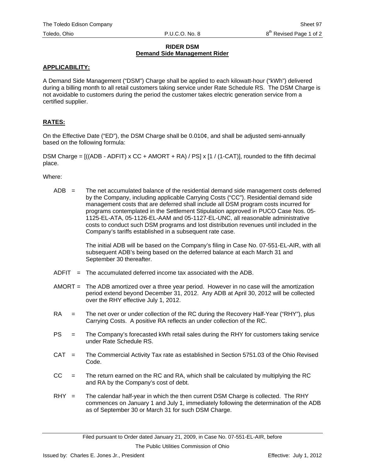### **RIDER DSM Demand Side Management Rider**

## **APPLICABILITY:**

A Demand Side Management ("DSM") Charge shall be applied to each kilowatt-hour ("kWh") delivered during a billing month to all retail customers taking service under Rate Schedule RS. The DSM Charge is not avoidable to customers during the period the customer takes electric generation service from a certified supplier.

## **RATES:**

On the Effective Date ("ED"), the DSM Charge shall be 0.010¢, and shall be adjusted semi-annually based on the following formula:

DSM Charge =  $((ADB - ADFIT) \times CC + AMORT + RA) / PS \times [1 / (1-CAT)],$  rounded to the fifth decimal place.

Where:

 $ADB =$  The net accumulated balance of the residential demand side management costs deferred by the Company, including applicable Carrying Costs ("CC"). Residential demand side management costs that are deferred shall include all DSM program costs incurred for programs contemplated in the Settlement Stipulation approved in PUCO Case Nos. 05- 1125-EL-ATA, 05-1126-EL-AAM and 05-1127-EL-UNC, all reasonable administrative costs to conduct such DSM programs and lost distribution revenues until included in the Company's tariffs established in a subsequent rate case.

> The initial ADB will be based on the Company's filing in Case No. 07-551-EL-AIR, with all subsequent ADB's being based on the deferred balance at each March 31 and September 30 thereafter.

- $ADFIT = The accumulated deferred income tax associated with the ADB.$
- AMORT = The ADB amortized over a three year period. However in no case will the amortization period extend beyond December 31, 2012. Any ADB at April 30, 2012 will be collected over the RHY effective July 1, 2012.
- RA = The net over or under collection of the RC during the Recovery Half-Year ("RHY"), plus Carrying Costs. A positive RA reflects an under collection of the RC.
- PS = The Company's forecasted kWh retail sales during the RHY for customers taking service under Rate Schedule RS.
- CAT = The Commercial Activity Tax rate as established in Section 5751.03 of the Ohio Revised Code.
- $CC =$  The return earned on the RC and RA, which shall be calculated by multiplying the RC and RA by the Company's cost of debt.
- $RHY =$  The calendar half-year in which the then current DSM Charge is collected. The RHY commences on January 1 and July 1, immediately following the determination of the ADB as of September 30 or March 31 for such DSM Charge.